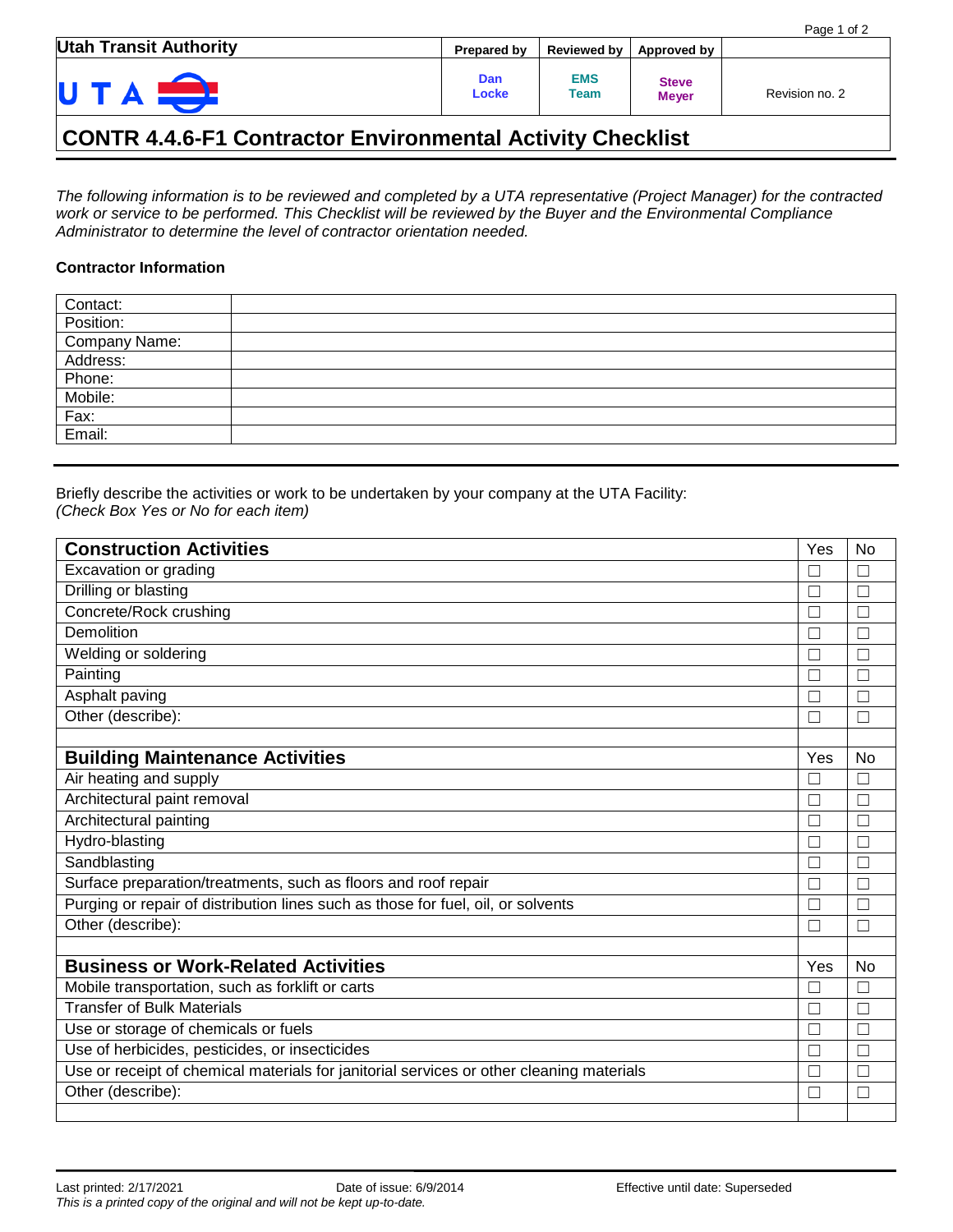| <b>Utah Transit Authority</b> | Prepared by  |                    | Reviewed by   Approved by    |                |
|-------------------------------|--------------|--------------------|------------------------------|----------------|
| U                             | Dan<br>Locke | <b>EMS</b><br>Team | <b>Steve</b><br><b>Meyer</b> | Revision no. 2 |

## **CONTR 4.4.6-F1 Contractor Environmental Activity Checklist**

*The following information is to be reviewed and completed by a UTA representative (Project Manager) for the contracted work or service to be performed. This Checklist will be reviewed by the Buyer and the Environmental Compliance Administrator to determine the level of contractor orientation needed.*

## **Contractor Information**

| Contact:          |  |
|-------------------|--|
| Position:         |  |
| Company Name:     |  |
| Address:          |  |
| Phone:<br>Mobile: |  |
|                   |  |
| Fax:              |  |
| Email:            |  |
|                   |  |

Briefly describe the activities or work to be undertaken by your company at the UTA Facility: *(Check Box Yes or No for each item)*

| <b>Construction Activities</b>                                                           | Yes          | N <sub>0</sub> |
|------------------------------------------------------------------------------------------|--------------|----------------|
| Excavation or grading                                                                    | П            |                |
| Drilling or blasting                                                                     |              |                |
| Concrete/Rock crushing                                                                   |              |                |
| Demolition                                                                               | $\Box$       |                |
| Welding or soldering                                                                     |              |                |
| Painting                                                                                 |              |                |
| Asphalt paving                                                                           | Г            |                |
| Other (describe):                                                                        |              |                |
|                                                                                          |              |                |
| <b>Building Maintenance Activities</b>                                                   | Yes          | No             |
| Air heating and supply                                                                   | $\mathbf{L}$ |                |
| Architectural paint removal                                                              | $\Box$       |                |
| Architectural painting                                                                   |              |                |
| Hydro-blasting                                                                           | L            |                |
| Sandblasting                                                                             | $\Box$       |                |
| Surface preparation/treatments, such as floors and roof repair                           | Г            |                |
| Purging or repair of distribution lines such as those for fuel, oil, or solvents         |              |                |
| Other (describe):                                                                        | П            | П              |
|                                                                                          |              |                |
| <b>Business or Work-Related Activities</b>                                               | Yes          | <b>No</b>      |
| Mobile transportation, such as forklift or carts                                         | П            |                |
| <b>Transfer of Bulk Materials</b>                                                        | П            |                |
| Use or storage of chemicals or fuels                                                     |              |                |
| Use of herbicides, pesticides, or insecticides                                           | Г            |                |
| Use or receipt of chemical materials for janitorial services or other cleaning materials | Г            |                |
| Other (describe):                                                                        |              |                |
|                                                                                          |              |                |